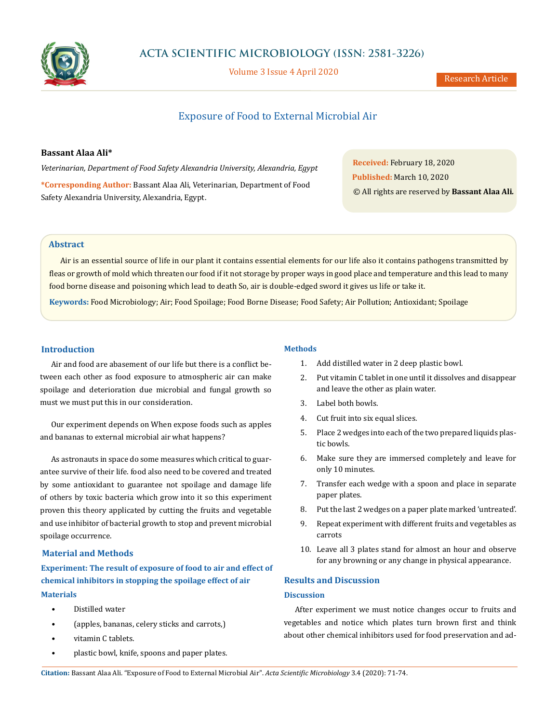

# **ACTA SCIENTIFIC MICROBIOLOGY (ISSN: 2581-3226)**

Volume 3 Issue 4 April 2020

Research Article

# Exposure of Food to External Microbial Air

## **Bassant Alaa Ali\***

*Veterinarian, Department of Food Safety Alexandria University, Alexandria, Egypt* **\*Corresponding Author:** Bassant Alaa Ali, Veterinarian, Department of Food Safety Alexandria University, Alexandria, Egypt.

**Received:** February 18, 2020 **Published:** March 10, 2020 © All rights are reserved by **Bassant Alaa Ali***.*

## **Abstract**

Air is an essential source of life in our plant it contains essential elements for our life also it contains pathogens transmitted by fleas or growth of mold which threaten our food if it not storage by proper ways in good place and temperature and this lead to many food borne disease and poisoning which lead to death So, air is double-edged sword it gives us life or take it.

**Keywords:** Food Microbiology; Air; Food Spoilage; Food Borne Disease; Food Safety; Air Pollution; Antioxidant; Spoilage

## **Introduction**

Air and food are abasement of our life but there is a conflict between each other as food exposure to atmospheric air can make spoilage and deterioration due microbial and fungal growth so must we must put this in our consideration.

Our experiment depends on When expose foods such as apples and bananas to external microbial air what happens?

As astronauts in space do some measures which critical to guarantee survive of their life. food also need to be covered and treated by some antioxidant to guarantee not spoilage and damage life of others by toxic bacteria which grow into it so this experiment proven this theory applicated by cutting the fruits and vegetable and use inhibitor of bacterial growth to stop and prevent microbial spoilage occurrence.

## **Material and Methods**

**Experiment: The result of exposure of food to air and effect of chemical inhibitors in stopping the spoilage effect of air Materials**

- Distilled water
- (apples, bananas, celery sticks and carrots,)
- vitamin C tablets.
- plastic bowl, knife, spoons and paper plates.

## **Methods**

- 1. Add distilled water in 2 deep plastic bowl.
- 2. Put vitamin C tablet in one until it dissolves and disappear and leave the other as plain water.
- 3. Label both bowls.
- 4. Cut fruit into six equal slices.
- 5. Place 2 wedges into each of the two prepared liquids plastic bowls.
- 6. Make sure they are immersed completely and leave for only 10 minutes.
- 7. Transfer each wedge with a spoon and place in separate paper plates.
- 8. Put the last 2 wedges on a paper plate marked 'untreated'.
- 9. Repeat experiment with different fruits and vegetables as carrots
- 10. Leave all 3 plates stand for almost an hour and observe for any browning or any change in physical appearance.

## **Results and Discussion**

### **Discussion**

After experiment we must notice changes occur to fruits and vegetables and notice which plates turn brown first and think about other chemical inhibitors used for food preservation and ad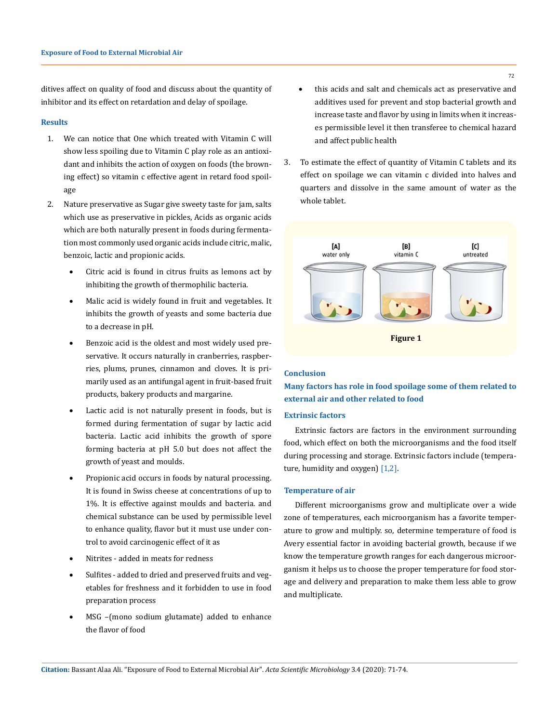ditives affect on quality of food and discuss about the quantity of inhibitor and its effect on retardation and delay of spoilage.

## **Results**

- 1. We can notice that One which treated with Vitamin C will show less spoiling due to Vitamin C play role as an antioxidant and inhibits the action of oxygen on foods (the browning effect) so vitamin c effective agent in retard food spoilage
- 2. Nature preservative as Sugar give sweety taste for jam, salts which use as preservative in pickles, Acids as organic acids which are both naturally present in foods during fermentation most commonly used organic acids include citric, malic, benzoic, lactic and propionic acids.
	- Citric acid is found in citrus fruits as lemons act by inhibiting the growth of thermophilic bacteria.
	- Malic acid is widely found in fruit and vegetables. It inhibits the growth of yeasts and some bacteria due to a decrease in pH.
	- • Benzoic acid is the oldest and most widely used preservative. It occurs naturally in cranberries, raspberries, plums, prunes, cinnamon and cloves. It is primarily used as an antifungal agent in fruit-based fruit products, bakery products and margarine.
	- • Lactic acid is not naturally present in foods, but is formed during fermentation of sugar by lactic acid bacteria. Lactic acid inhibits the growth of spore forming bacteria at pH 5.0 but does not affect the growth of yeast and moulds.
	- Propionic acid occurs in foods by natural processing. It is found in Swiss cheese at concentrations of up to 1%. It is effective against moulds and bacteria. and chemical substance can be used by permissible level to enhance quality, flavor but it must use under control to avoid carcinogenic effect of it as
	- Nitrites added in meats for redness
	- Sulfites added to dried and preserved fruits and vegetables for freshness and it forbidden to use in food preparation process
	- MSG -(mono sodium glutamate) added to enhance the flavor of food
- this acids and salt and chemicals act as preservative and additives used for prevent and stop bacterial growth and increase taste and flavor by using in limits when it increases permissible level it then transferee to chemical hazard and affect public health
- 3. To estimate the effect of quantity of Vitamin C tablets and its effect on spoilage we can vitamin c divided into halves and quarters and dissolve in the same amount of water as the whole tablet.



### **Conclusion**

**Many factors has role in food spoilage some of them related to external air and other related to food** 

## **Extrinsic factors**

Extrinsic factors are factors in the environment surrounding food, which effect on both the microorganisms and the food itself during processing and storage. Extrinsic factors include (temperature, humidity and oxygen) [1,2].

#### **Temperature of air**

Different microorganisms grow and multiplicate over a wide zone of temperatures, each microorganism has a favorite temperature to grow and multiply. so, determine temperature of food is Avery essential factor in avoiding bacterial growth, because if we know the temperature growth ranges for each dangerous microorganism it helps us to choose the proper temperature for food storage and delivery and preparation to make them less able to grow and multiplicate.

72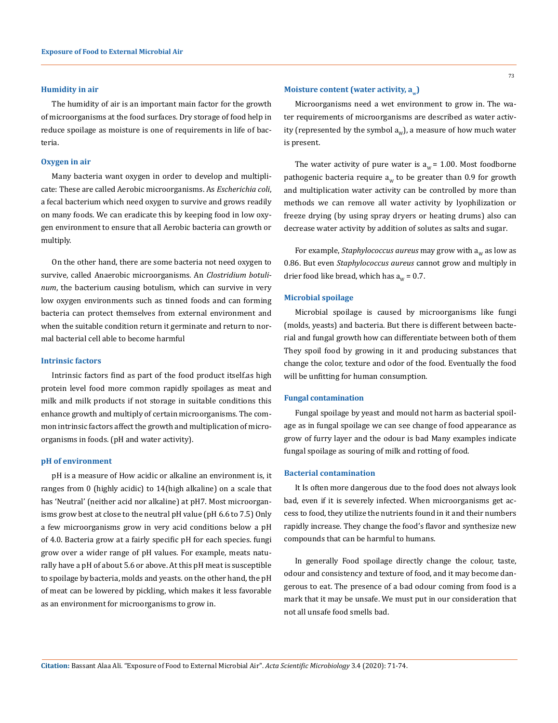## **Humidity in air**

The humidity of air is an important main factor for the growth of microorganisms at the food surfaces. Dry storage of food help in reduce spoilage as moisture is one of requirements in life of bacteria.

#### **Oxygen in air**

Many bacteria want oxygen in order to develop and multiplicate: These are called Aerobic microorganisms. As *Escherichia coli*, a fecal bacterium which need oxygen to survive and grows readily on many foods. We can eradicate this by keeping food in low oxygen environment to ensure that all Aerobic bacteria can growth or multiply.

On the other hand, there are some bacteria not need oxygen to survive, called Anaerobic microorganisms. An *Clostridium botulinum*, the bacterium causing botulism, which can survive in very low oxygen environments such as tinned foods and can forming bacteria can protect themselves from external environment and when the suitable condition return it germinate and return to normal bacterial cell able to become harmful

## **Intrinsic factors**

Intrinsic factors find as part of the food product itself.as high protein level food more common rapidly spoilages as meat and milk and milk products if not storage in suitable conditions this enhance growth and multiply of certain microorganisms. The common intrinsic factors affect the growth and multiplication of microorganisms in foods. (pH and water activity).

## **pH of environment**

pH is a measure of How acidic or alkaline an environment is, it ranges from 0 (highly acidic) to 14(high alkaline) on a scale that has 'Neutral' (neither acid nor alkaline) at pH7. Most microorganisms grow best at close to the neutral pH value (pH 6.6 to 7.5) Only a few microorganisms grow in very acid conditions below a pH of 4.0. Bacteria grow at a fairly specific pH for each species. fungi grow over a wider range of pH values. For example, meats naturally have a pH of about 5.6 or above. At this pH meat is susceptible to spoilage by bacteria, molds and yeasts. on the other hand, the pH of meat can be lowered by pickling, which makes it less favorable as an environment for microorganisms to grow in.

Microorganisms need a wet environment to grow in. The water requirements of microorganisms are described as water activity (represented by the symbol  $a_w$ ), a measure of how much water is present.

The water activity of pure water is  $a_w = 1.00$ . Most foodborne pathogenic bacteria require  $a_w$  to be greater than 0.9 for growth and multiplication water activity can be controlled by more than methods we can remove all water activity by lyophilization or freeze drying (by using spray dryers or heating drums) also can decrease water activity by addition of solutes as salts and sugar.

For example, *Staphylococcus aureus* may grow with  $a_w$  as low as 0.86. But even *Staphylococcus aureus* cannot grow and multiply in drier food like bread, which has  $a_w = 0.7$ .

#### **Microbial spoilage**

Microbial spoilage is caused by microorganisms like fungi (molds, yeasts) and bacteria. But there is different between bacterial and fungal growth how can differentiate between both of them They spoil food by growing in it and producing substances that change the color, texture and odor of the food. Eventually the food will be unfitting for human consumption.

### **Fungal contamination**

Fungal spoilage by yeast and mould not harm as bacterial spoilage as in fungal spoilage we can see change of food appearance as grow of furry layer and the odour is bad Many examples indicate fungal spoilage as souring of milk and rotting of food.

## **Bacterial contamination**

It Is often more dangerous due to the food does not always look bad, even if it is severely infected. When microorganisms get access to food, they utilize the nutrients found in it and their numbers rapidly increase. They change the food's flavor and synthesize new compounds that can be harmful to humans.

In generally Food spoilage directly change the colour, taste, odour and consistency and texture of food, and it may become dangerous to eat. The presence of a bad odour coming from food is a mark that it may be unsafe. We must put in our consideration that not all unsafe food smells bad.